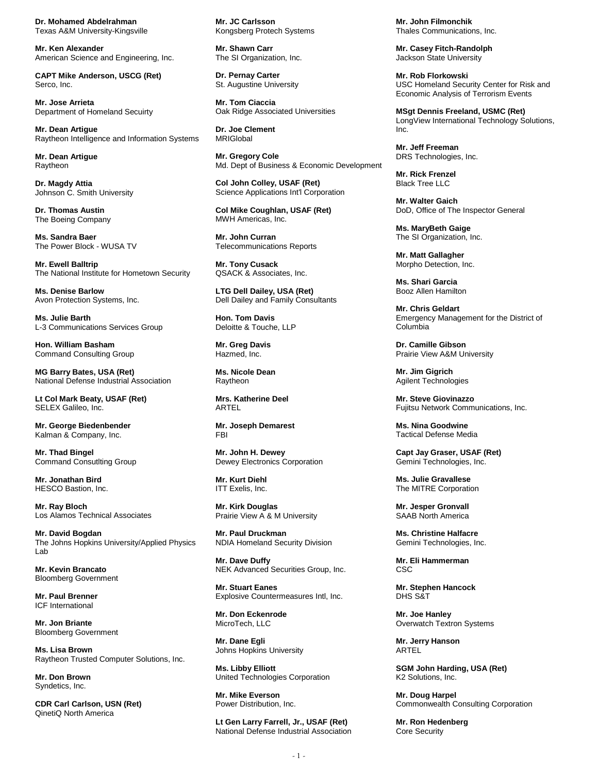**Dr. Mohamed Abdelrahman** Texas A&M University-Kingsville

**Mr. Ken Alexander** American Science and Engineering, Inc.

**CAPT Mike Anderson, USCG (Ret)** Serco, Inc.

**Mr. Jose Arrieta** Department of Homeland Secuirty

**Mr. Dean Artigue** Raytheon Intelligence and Information Systems

**Mr. Dean Artigue** Raytheon

**Dr. Magdy Attia** Johnson C. Smith University

**Dr. Thomas Austin** The Boeing Company

**Ms. Sandra Baer** The Power Block - WUSA TV

**Mr. Ewell Balltrip** The National Institute for Hometown Security

**Ms. Denise Barlow** Avon Protection Systems, Inc.

**Ms. Julie Barth** L-3 Communications Services Group

**Hon. William Basham** Command Consulting Group

**MG Barry Bates, USA (Ret)** National Defense Industrial Association

**Lt Col Mark Beaty, USAF (Ret)** SELEX Galileo, Inc.

**Mr. George Biedenbender** Kalman & Company, Inc.

**Mr. Thad Bingel** Command Consutlting Group

**Mr. Jonathan Bird** HESCO Bastion, Inc.

**Mr. Ray Bloch** Los Alamos Technical Associates

**Mr. David Bogdan** The Johns Hopkins University/Applied Physics Lab

**Mr. Kevin Brancato** Bloomberg Government

**Mr. Paul Brenner** ICF International

**Mr. Jon Briante** Bloomberg Government

**Ms. Lisa Brown** Raytheon Trusted Computer Solutions, Inc.

**Mr. Don Brown** Syndetics, Inc.

**CDR Carl Carlson, USN (Ret)** QinetiQ North America

**Mr. JC Carlsson** Kongsberg Protech Systems

**Mr. Shawn Carr** The SI Organization, Inc.

**Dr. Pernay Carter** St. Augustine University

**Mr. Tom Ciaccia** Oak Ridge Associated Universities

**Dr. Joe Clement** MRIGlobal

**Mr. Gregory Cole** Md. Dept of Business & Economic Development

**Col John Colley, USAF (Ret)** Science Applications Int'l Corporation

**Col Mike Coughlan, USAF (Ret)** MWH Americas, Inc.

**Mr. John Curran** Telecommunications Reports

**Mr. Tony Cusack** QSACK & Associates, Inc.

**LTG Dell Dailey, USA (Ret)** Dell Dailey and Family Consultants

**Hon. Tom Davis** Deloitte & Touche, LLP

**Mr. Greg Davis** Hazmed, Inc.

**Ms. Nicole Dean** Raytheon

**Mrs. Katherine Deel** ARTEL

**Mr. Joseph Demarest** FBI

**Mr. John H. Dewey** Dewey Electronics Corporation

**Mr. Kurt Diehl** ITT Exelis, Inc.

**Mr. Kirk Douglas** Prairie View A & M University

**Mr. Paul Druckman** NDIA Homeland Security Division

**Mr. Dave Duffy** NEK Advanced Securities Group, Inc.

**Mr. Stuart Eanes** Explosive Countermeasures Intl, Inc.

**Mr. Don Eckenrode** MicroTech, LLC

**Mr. Dane Egli** Johns Hopkins University

**Ms. Libby Elliott** United Technologies Corporation

**Mr. Mike Everson** Power Distribution, Inc.

**Lt Gen Larry Farrell, Jr., USAF (Ret)** National Defense Industrial Association **Mr. John Filmonchik** Thales Communications, Inc.

**Mr. Casey Fitch-Randolph** Jackson State University

**Mr. Rob Florkowski** USC Homeland Security Center for Risk and Economic Analysis of Terrorism Events

**MSgt Dennis Freeland, USMC (Ret)** LongView International Technology Solutions, Inc.

**Mr. Jeff Freeman** DRS Technologies, Inc.

**Mr. Rick Frenzel** Black Tree LLC

**Mr. Walter Gaich** DoD, Office of The Inspector General

**Ms. MaryBeth Gaige** The SI Organization, Inc.

**Mr. Matt Gallagher** Morpho Detection, Inc.

**Ms. Shari Garcia** Booz Allen Hamilton

**Mr. Chris Geldart** Emergency Management for the District of Columbia

**Dr. Camille Gibson** Prairie View A&M University

**Mr. Jim Gigrich** Agilent Technologies

**Mr. Steve Giovinazzo** Fujitsu Network Communications, Inc.

**Ms. Nina Goodwine** Tactical Defense Media

**Capt Jay Graser, USAF (Ret)** Gemini Technologies, Inc.

**Ms. Julie Gravallese** The MITRE Corporation

**Mr. Jesper Gronvall** SAAB North America

**Ms. Christine Halfacre** Gemini Technologies, Inc.

**Mr. Eli Hammerman** CSC

**Mr. Stephen Hancock** DHS S&T

**Mr. Joe Hanley** Overwatch Textron Systems

**Mr. Jerry Hanson** ARTEL

**SGM John Harding, USA (Ret)** K2 Solutions, Inc.

**Mr. Doug Harpel** Commonwealth Consulting Corporation

**Mr. Ron Hedenberg** Core Security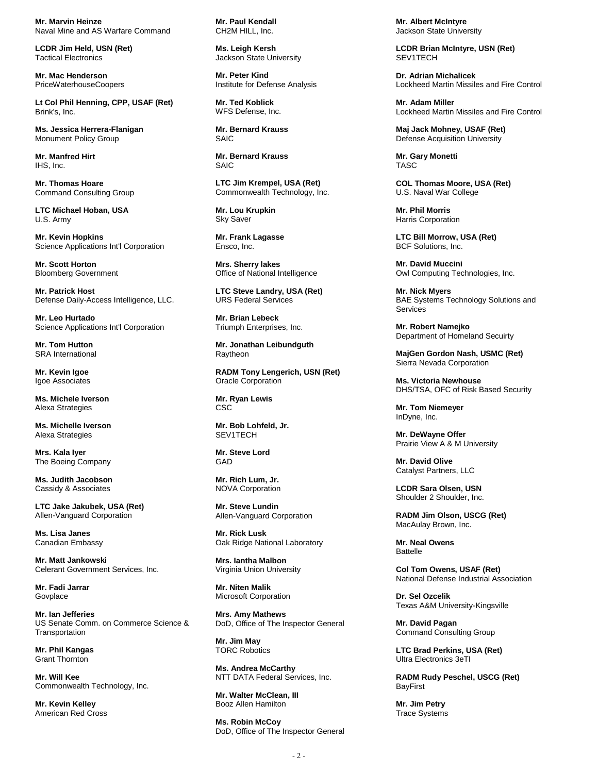**Mr. Marvin Heinze** Naval Mine and AS Warfare Command

**LCDR Jim Held, USN (Ret)** Tactical Electronics

**Mr. Mac Henderson** PriceWaterhouseCoopers

**Lt Col Phil Henning, CPP, USAF (Ret)** Brink's, Inc.

**Ms. Jessica Herrera-Flanigan** Monument Policy Group

**Mr. Manfred Hirt** IHS, Inc.

**Mr. Thomas Hoare** Command Consulting Group

**LTC Michael Hoban, USA** U.S. Army

**Mr. Kevin Hopkins** Science Applications Int'l Corporation

**Mr. Scott Horton** Bloomberg Government

**Mr. Patrick Host** Defense Daily-Access Intelligence, LLC.

**Mr. Leo Hurtado** Science Applications Int'l Corporation

**Mr. Tom Hutton** SRA International

**Mr. Kevin Igoe** Igoe Associates

**Ms. Michele Iverson** Alexa Strategies

**Ms. Michelle Iverson** Alexa Strategies

**Mrs. Kala Iyer** The Boeing Company

**Ms. Judith Jacobson** Cassidy & Associates

**LTC Jake Jakubek, USA (Ret)** Allen-Vanguard Corporation

**Ms. Lisa Janes** Canadian Embassy

**Mr. Matt Jankowski** Celerant Government Services, Inc.

**Mr. Fadi Jarrar** Govplace

**Mr. Ian Jefferies** US Senate Comm. on Commerce Science & **Transportation** 

**Mr. Phil Kangas** Grant Thornton

**Mr. Will Kee** Commonwealth Technology, Inc.

**Mr. Kevin Kelley** American Red Cross **Mr. Paul Kendall** CH2M HILL, Inc.

**Ms. Leigh Kersh** Jackson State University

**Mr. Peter Kind** Institute for Defense Analysis

**Mr. Ted Koblick** WFS Defense, Inc.

**Mr. Bernard Krauss** SAIC

**Mr. Bernard Krauss** SAIC

**LTC Jim Krempel, USA (Ret)** Commonwealth Technology, Inc.

**Mr. Lou Krupkin** Sky Saver

**Mr. Frank Lagasse** Ensco, Inc.

**Mrs. Sherry lakes** Office of National Intelligence

**LTC Steve Landry, USA (Ret)** URS Federal Services

**Mr. Brian Lebeck** Triumph Enterprises, Inc.

**Mr. Jonathan Leibundguth** Raytheon

**RADM Tony Lengerich, USN (Ret)** Oracle Corporation

**Mr. Ryan Lewis CSC** 

**Mr. Bob Lohfeld, Jr.** SEV1TECH

**Mr. Steve Lord** GAD

**Mr. Rich Lum, Jr.** NOVA Corporation

**Mr. Steve Lundin** Allen-Vanguard Corporation

**Mr. Rick Lusk** Oak Ridge National Laboratory

**Mrs. Iantha Malbon** Virginia Union University

**Mr. Niten Malik** Microsoft Corporation

**Mrs. Amy Mathews** DoD, Office of The Inspector General

**Mr. Jim May** TORC Robotics

**Ms. Andrea McCarthy** NTT DATA Federal Services, Inc.

**Mr. Walter McClean, III** Booz Allen Hamilton

**Ms. Robin McCoy** DoD, Office of The Inspector General **Mr. Albert McIntyre** Jackson State University

**LCDR Brian McIntyre, USN (Ret)** SEV1TECH

**Dr. Adrian Michalicek** Lockheed Martin Missiles and Fire Control

**Mr. Adam Miller** Lockheed Martin Missiles and Fire Control

**Maj Jack Mohney, USAF (Ret)** Defense Acquisition University

**Mr. Gary Monetti** TASC

**COL Thomas Moore, USA (Ret)** U.S. Naval War College

**Mr. Phil Morris** Harris Corporation

**LTC Bill Morrow, USA (Ret)** BCF Solutions, Inc.

**Mr. David Muccini** Owl Computing Technologies, Inc.

**Mr. Nick Myers** BAE Systems Technology Solutions and Services

**Mr. Robert Namejko** Department of Homeland Secuirty

**MajGen Gordon Nash, USMC (Ret)** Sierra Nevada Corporation

**Ms. Victoria Newhouse** DHS/TSA, OFC of Risk Based Security

**Mr. Tom Niemeyer** InDyne, Inc.

**Mr. DeWayne Offer** Prairie View A & M University

**Mr. David Olive** Catalyst Partners, LLC

**LCDR Sara Olsen, USN** Shoulder 2 Shoulder, Inc.

**RADM Jim Olson, USCG (Ret)** MacAulay Brown, Inc.

**Mr. Neal Owens** Battelle

**Col Tom Owens, USAF (Ret)** National Defense Industrial Association

**Dr. Sel Ozcelik** Texas A&M University-Kingsville

**Mr. David Pagan** Command Consulting Group

**LTC Brad Perkins, USA (Ret)** Ultra Electronics 3eTI

**RADM Rudy Peschel, USCG (Ret)** BayFirst

**Mr. Jim Petry** Trace Systems